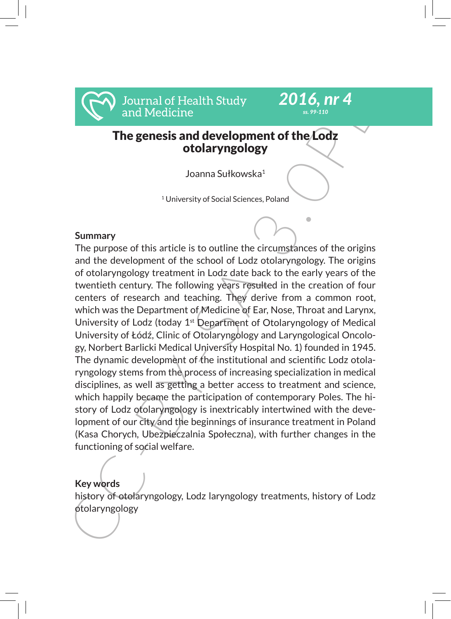

# The genesis and development of the Lodz otolaryngology

*2016, nr 4 ss. 99-110*

Joanna Sułkowska<sup>1</sup>

<sup>1</sup> University of Social Sciences, Poland

### **Summary**

From Bottom Medicine<br>
The genesis and development of the Lodz<br>
Inversion The genesis and development of the Lodz<br>
otolaryngology<br>
Summary<br>
Summary<br>
Summary<br>
Summary<br>
Summary<br>
Summary<br>
Summary<br>
Summary<br>
Summary<br>
Summary<br>
Su The purpose of this article is to outline the circumstances of the origins and the development of the school of Lodz otolaryngology. The origins of otolaryngology treatment in Lodz date back to the early years of the twentieth century. The following years resulted in the creation of four centers of research and teaching. They derive from a common root, which was the Department of Medicine of Ear, Nose, Throat and Larynx, University of Lodz (today  $1<sup>st</sup>$  Department of Otolaryngology of Medical University of Łódź, Clinic of Otolaryngology and Laryngological Oncology, Norbert Barlicki Medical University Hospital No. 1) founded in 1945. The dynamic development of the institutional and scientific Lodz otolaryngology stems from the process of increasing specialization in medical disciplines, as well as getting a better access to treatment and science, which happily became the participation of contemporary Poles. The history of Lodz otolaryngology is inextricably intertwined with the development of our city and the beginnings of insurance treatment in Poland (Kasa Chorych, Ubezpieczalnia Społeczna), with further changes in the functioning of social welfare.

### **Key words**

history of otolaryngology, Lodz laryngology treatments, history of Lodz otolaryngology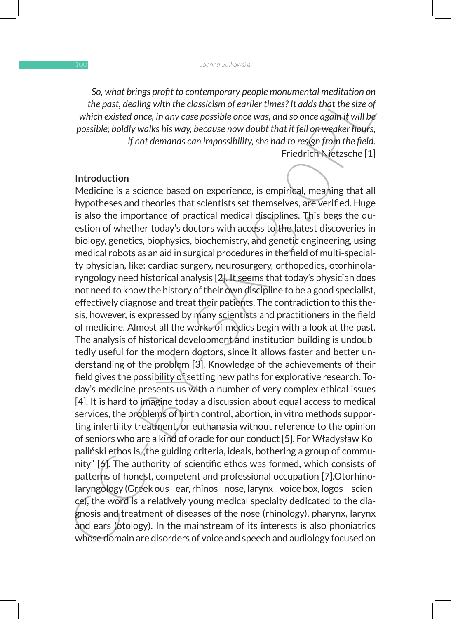*So, what brings profit to contemporary people monumental meditation on the past, dealing with the classicism of earlier times? It adds that the size of which existed once, in any case possible once was, and so once again it will be possible; boldly walks his way, because now doubt that it fell on weaker hours, if not demands can impossibility, she had to resign from the field.* – Friedrich Nietzsche [1]

#### **Introduction**

So, what prings propri contemporary people monutmental meatitation on<br>the past, dealing with the classicism of earlier times? It dads that the size of<br>which existed once, in any case possible once was, and so once orgain i Medicine is a science based on experience, is empirical, meaning that all hypotheses and theories that scientists set themselves, are verified. Huge is also the importance of practical medical disciplines. This begs the question of whether today's doctors with access to the latest discoveries in biology, genetics, biophysics, biochemistry, and genetic engineering, using medical robots as an aid in surgical procedures in the field of multi-specialty physician, like: cardiac surgery, neurosurgery, orthopedics, otorhinolaryngology need historical analysis [2]. It seems that today's physician does not need to know the history of their own discipline to be a good specialist, effectively diagnose and treat their patients. The contradiction to this thesis, however, is expressed by many scientists and practitioners in the field of medicine. Almost all the works of medics begin with a look at the past. The analysis of historical development and institution building is undoubtedly useful for the modern doctors, since it allows faster and better understanding of the problem [3]. Knowledge of the achievements of their field gives the possibility of setting new paths for explorative research. Today's medicine presents us with a number of very complex ethical issues [4]. It is hard to imagine today a discussion about equal access to medical services, the problems of birth control, abortion, in vitro methods supporting infertility treatment, or euthanasia without reference to the opinion of seniors who are a kind of oracle for our conduct [5]. For Władysław Kopaliński ethos is the guiding criteria, ideals, bothering a group of community" [6]. The authority of scientific ethos was formed, which consists of patterns of honest, competent and professional occupation [7]. Otorhinolaryngology (Greek ous - ear, rhinos - nose, larynx - voice box, logos – science), the word is a relatively young medical specialty dedicated to the diagnosis and treatment of diseases of the nose (rhinology), pharynx, larynx and ears (otology). In the mainstream of its interests is also phoniatrics whose domain are disorders of voice and speech and audiology focused on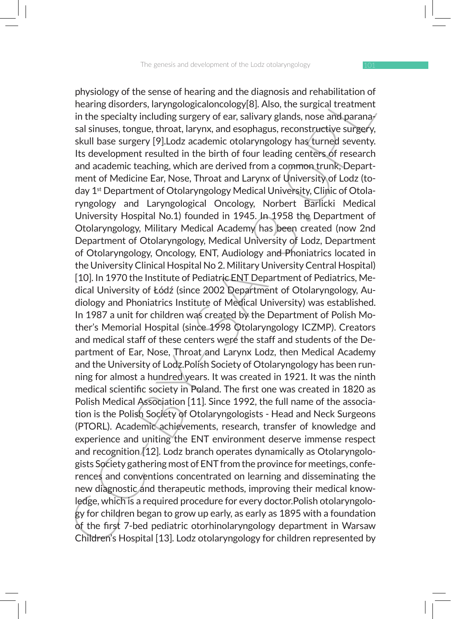pyis0logy or me sense or nearing annor enargy and renamination or<br>hering disorders, laryngological<br>oncology[8]. Also, the surgical treatment<br>in the specialty including surgery of ear, salivary glands, nose and paranay<br>sali physiology of the sense of hearing and the diagnosis and rehabilitation of hearing disorders, laryngologicaloncology[8]. Also, the surgical treatment in the specialty including surgery of ear, salivary glands, nose and paranasal sinuses, tongue, throat, larynx, and esophagus, reconstructive surgery, skull base surgery [9].Lodz academic otolaryngology has turned seventy. Its development resulted in the birth of four leading centers of research and academic teaching, which are derived from a common trunk, Department of Medicine Ear, Nose, Throat and Larynx of University of Lodz (today 1st Department of Otolaryngology Medical University, Clinic of Otolaryngology and Laryngological Oncology, Norbert Barlicki Medical University Hospital No.1) founded in 1945. In 1958 the Department of Otolaryngology, Military Medical Academy has been created (now 2nd Department of Otolaryngology, Medical University of Lodz, Department of Otolaryngology, Oncology, ENT, Audiology and Phoniatrics located in the University Clinical Hospital No 2. Military University Central Hospital) [10]. In 1970 the Institute of Pediatric ENT Department of Pediatrics, Medical University of Łódź (since 2002 Department of Otolaryngology, Audiology and Phoniatrics Institute of Medical University) was established. In 1987 a unit for children was created by the Department of Polish Mother's Memorial Hospital (since 1998 Otolaryngology ICZMP). Creators and medical staff of these centers were the staff and students of the Department of Ear, Nose, Throat and Larynx Lodz, then Medical Academy and the University of Lodz.Polish Society of Otolaryngology has been running for almost a hundred years. It was created in 1921. It was the ninth medical scientific society in Poland. The first one was created in 1820 as Polish Medical Association [11]. Since 1992, the full name of the association is the Polish Society of Otolaryngologists - Head and Neck Surgeons (PTORL). Academic achievements, research, transfer of knowledge and experience and uniting the ENT environment deserve immense respect and recognition [12]. Lodz branch operates dynamically as Otolaryngologists Society gathering most of ENT from the province for meetings, conferences and conventions concentrated on learning and disseminating the new diagnostic and therapeutic methods, improving their medical knowledge, which is a required procedure for every doctor.Polish otolaryngology for children began to grow up early, as early as 1895 with a foundation of the first 7-bed pediatric otorhinolaryngology department in Warsaw Children's Hospital [13]. Lodz otolaryngology for children represented by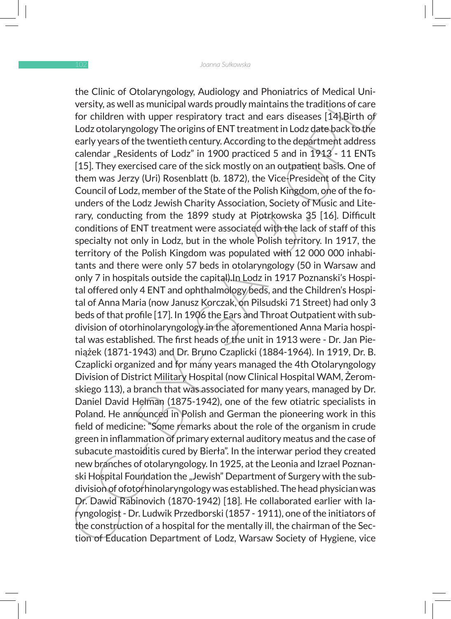me Unit of Otofarypaology, Auditology and Phomatrics of Medical Uni-<br>Medical Unit of Defective departments of Medical Consider of the subscribe of the subscribe of the subscripts of the constrained be and the party years o the Clinic of Otolaryngology, Audiology and Phoniatrics of Medical University, as well as municipal wards proudly maintains the traditions of care for children with upper respiratory tract and ears diseases [14].Birth of Lodz otolaryngology The origins of ENT treatment in Lodz date back to the early years of the twentieth century. According to the department address calendar "Residents of Lodz" in 1900 practiced 5 and in 1913 - 11 ENTs [15]. They exercised care of the sick mostly on an outpatient basis. One of them was Jerzy (Uri) Rosenblatt (b. 1872), the Vice-President of the City Council of Lodz, member of the State of the Polish Kingdom, one of the founders of the Lodz Jewish Charity Association, Society of Music and Literary, conducting from the 1899 study at Piotrkowska 35 [16]. Difficult conditions of ENT treatment were associated with the lack of staff of this specialty not only in Lodz, but in the whole Polish territory. In 1917, the territory of the Polish Kingdom was populated with 12 000 000 inhabitants and there were only 57 beds in otolaryngology (50 in Warsaw and only 7 in hospitals outside the capital).In Lodz in 1917 Poznanski's Hospital offered only 4 ENT and ophthalmology beds, and the Children's Hospital of Anna Maria (now Janusz Korczak, on Pilsudski 71 Street) had only 3 beds of that profile [17]. In 1906 the Ears and Throat Outpatient with subdivision of otorhinolaryngology in the aforementioned Anna Maria hospital was established. The first heads of the unit in 1913 were - Dr. Jan Pieniążek (1871-1943) and Dr. Bruno Czaplicki (1884-1964). In 1919, Dr. B. Czaplicki organized and for many years managed the 4th Otolaryngology Division of District Military Hospital (now Clinical Hospital WAM, Żeromskiego 113), a branch that was associated for many years, managed by Dr. Daniel David Helman (1875-1942), one of the few otiatric specialists in Poland. He announced in Polish and German the pioneering work in this field of medicine: "Some remarks about the role of the organism in crude green in inflammation of primary external auditory meatus and the case of subacute mastoiditis cured by Bierła". In the interwar period they created new branches of otolaryngology. In 1925, at the Leonia and Izrael Poznanski Hospital Foundation the "Jewish" Department of Surgery with the subdivision of ofotorhinolaryngology was established. The head physician was Dr. Dawid Rabinovich (1870-1942) [18]. He collaborated earlier with laryngologist - Dr. Ludwik Przedborski (1857 - 1911), one of the initiators of the construction of a hospital for the mentally ill, the chairman of the Section of Education Department of Lodz, Warsaw Society of Hygiene, vice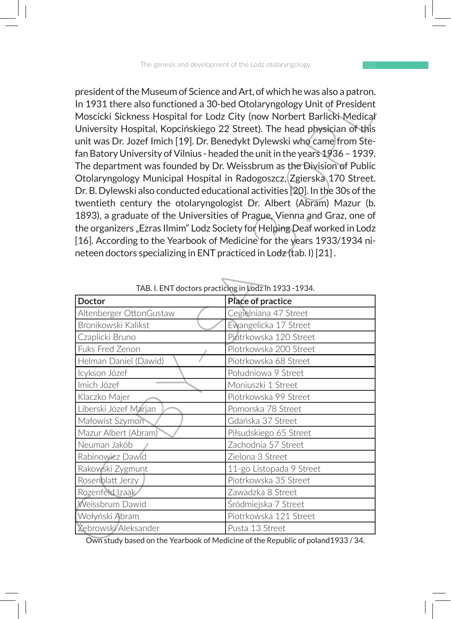|                                                                           | president of the Museum of Science and Art, of which he was also a patron.<br>In 1931 there also functioned a 30-bed Otolaryngology Unit of President |
|---------------------------------------------------------------------------|-------------------------------------------------------------------------------------------------------------------------------------------------------|
|                                                                           |                                                                                                                                                       |
|                                                                           | Moscicki Sickness Hospital for Lodz City (now Norbert Barlicki Medical                                                                                |
|                                                                           | University Hospital, Kopcińskiego 22 Street). The head physician of this                                                                              |
|                                                                           | unit was Dr. Jozef Imich [19]. Dr. Benedykt Dylewski who came from Ste-                                                                               |
|                                                                           | fan Batory University of Vilnius - headed the unit in the years 1936 - 1939.                                                                          |
|                                                                           | The department was founded by Dr. Weissbrum as the Division of Public                                                                                 |
|                                                                           | Otolaryngology Municipal Hospital in Radogoszcz, Zgierska 170 Street.                                                                                 |
|                                                                           | Dr. B. Dylewski also conducted educational activities [20]. In the 30s of the                                                                         |
|                                                                           | twentieth century the otolaryngologist Dr. Albert (Abram) Mazur (b.                                                                                   |
|                                                                           | 1893), a graduate of the Universities of Prague, Vienna and Graz, one of                                                                              |
| the organizers "Ezras Ilmim" Lodz Society for Helping Deaf worked in Lodz |                                                                                                                                                       |
|                                                                           | [16]. According to the Yearbook of Medicine for the years 1933/1934 ni-                                                                               |
|                                                                           | neteen doctors specializing in ENT practiced in Lodz (tab. I) [21].                                                                                   |
|                                                                           |                                                                                                                                                       |
|                                                                           |                                                                                                                                                       |
| TAB. I. ENT doctors practicing in Lodz in 1933-1934.                      |                                                                                                                                                       |
| <b>Doctor</b>                                                             | Place of practice                                                                                                                                     |
| Altenberger OttonGustaw                                                   | Cegielniana 47 Street                                                                                                                                 |
| Bronikowski Kalikst                                                       | Ewangelicka 17 Street                                                                                                                                 |
| Czaplicki Bruno                                                           | Piotrkowska 120 Street                                                                                                                                |
| Fuks Fred Zenon                                                           | Piotrkowska 200 Street                                                                                                                                |
| Helman Daniel (Dawid)                                                     | Piotrkowska 68 Street                                                                                                                                 |
| Icykson Józef                                                             | Południowa 9 Street                                                                                                                                   |
| Imich Józef                                                               | Moniuszki 1 Street                                                                                                                                    |
| Klaczko Majer                                                             | Piotrkowska 99 Street                                                                                                                                 |
| Liberski Józef Marjan                                                     | Pomorska 78 Street                                                                                                                                    |
| Małowist Szymon                                                           | Gdańska 37 Street                                                                                                                                     |
| Mazur Albert (Abram)                                                      | Piłsudskiego 65 Street                                                                                                                                |
|                                                                           |                                                                                                                                                       |
| Neuman Jakób                                                              | Zachodnia 57 Street                                                                                                                                   |
| Rabinowicz Dawid                                                          | Zielona 3 Street                                                                                                                                      |
| Rakowski Zygmunt                                                          | 11-go Listopada 9 Street                                                                                                                              |
| Rosenblatt Jerzy                                                          | Piotrkowska 35 Street                                                                                                                                 |
| Rozenfeld Izaak                                                           | Zawadzka 8 Street                                                                                                                                     |
| Weissbrum Dawid                                                           | Śródmiejska 7 Street                                                                                                                                  |
| Wołyński Abram<br>Żebrowski Aleksander                                    | Piotrkowska 121 Street<br>Pusta 13 Street                                                                                                             |

TAB. I. ENT doctors practicing in Lodz in 1933 -1934.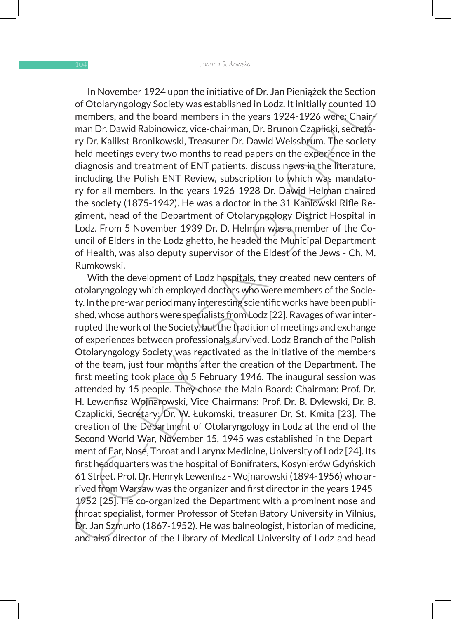In November 1924 upon the initiative of Dr. Jan Pieniążek the Section of Otolaryngology Society was established in Lodz. It initially counted 10 members, and the board members in the years 1924-1926 were: Chairman Dr. Dawid Rabinowicz, vice-chairman, Dr. Brunon Czaplicki, secretary Dr. Kalikst Bronikowski, Treasurer Dr. Dawid Weissbrum. The society held meetings every two months to read papers on the experience in the diagnosis and treatment of ENT patients, discuss news in the literature, including the Polish ENT Review, subscription to which was mandatory for all members. In the years 1926-1928 Dr. Dawid Helman chaired the society (1875-1942). He was a doctor in the 31 Kaniowski Rifle Regiment, head of the Department of Otolaryngology District Hospital in Lodz. From 5 November 1939 Dr. D. Helman was a member of the Council of Elders in the Lodz ghetto, he headed the Municipal Department of Health, was also deputy supervisor of the Eldest of the Jews - Ch. M. Rumkowski.

In November 1924 upon me Initiative or D. Ain Pieniages the section<br>of Otolaryngology Society was established in Lodz. It initially counted 10<br>members, and the board members in the years 1924-1926 were; Chairy<br>man Dr. Dawi With the development of Lodz hospitals, they created new centers of otolaryngology which employed doctors who were members of the Society. In the pre-war period many interesting scientific works have been published, whose authors were specialists from Lodz [22]. Ravages of war interrupted the work of the Society, but the tradition of meetings and exchange of experiences between professionals survived. Lodz Branch of the Polish Otolaryngology Society was reactivated as the initiative of the members of the team, just four months after the creation of the Department. The first meeting took place on 5 February 1946. The inaugural session was attended by 15 people. They chose the Main Board: Chairman: Prof. Dr. H. Lewenfisz-Wojnarowski, Vice-Chairmans: Prof. Dr. B. Dylewski, Dr. B. Czaplicki, Secretary:/Dr. W. Łukomski, treasurer Dr. St. Kmita [23]. The creation of the Department of Otolaryngology in Lodz at the end of the Second World War, November 15, 1945 was established in the Department of Ear, Nose, Throat and Larynx Medicine, University of Lodz [24]. Its first headquarters was the hospital of Bonifraters, Kosynierów Gdyńskich 61 Street. Prof. Dr. Henryk Lewenfisz - Wojnarowski (1894-1956) who arrived from Warsaw was the organizer and first director in the years 1945- 1952 [25]. He co-organized the Department with a prominent nose and throat specialist, former Professor of Stefan Batory University in Vilnius, Dr. Jan Szmurło (1867-1952). He was balneologist, historian of medicine, and also director of the Library of Medical University of Lodz and head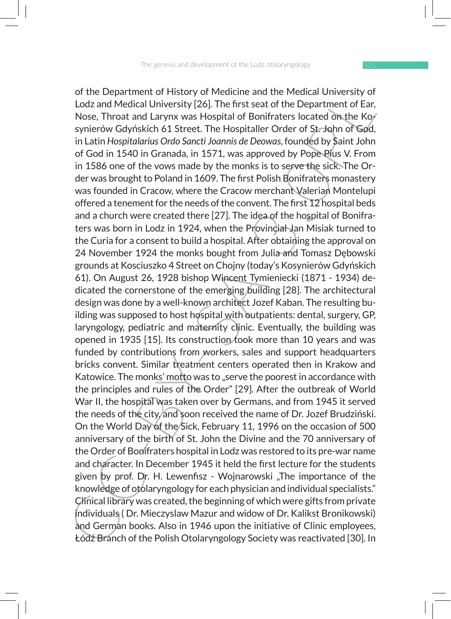or the Department of Mistory or Welsicine and the Metacla University or<br>I Lodz and Medical University [26]. The first seat of the Department of Ear,<br>Nose, Throat and Larynx was Hospital of Bonifraters located on the Koy<br>sy of the Department of History of Medicine and the Medical University of Lodz and Medical University [26]. The first seat of the Department of Ear, Nose, Throat and Larynx was Hospital of Bonifraters located on the Kosynierów Gdyńskich 61 Street. The Hospitaller Order of St. John of God, in Latin *Hospitalarius Ordo Sancti Joannis de Deowas*, founded by Saint John of God in 1540 in Granada, in 1571, was approved by Pope Pius V. From in 1586 one of the vows made by the monks is to serve the sick. The Order was brought to Poland in 1609. The first Polish Bonifraters monastery was founded in Cracow, where the Cracow merchant Valerian Montelupi offered a tenement for the needs of the convent. The first 12 hospital beds and a church were created there [27]. The idea of the hospital of Bonifraters was born in Lodz in 1924, when the Provindial Jan Misiak turned to the Curia for a consent to build a hospital. After obtaining the approval on 24 November 1924 the monks bought from Julia and Tomasz Dębowski grounds at Kosciuszko 4 Street on Chojny (today's Kosynierów Gdyńskich 61). On August 26, 1928 bishop Wincent Tymieniecki (1871 - 1934) dedicated the cornerstone of the emerging building [28]. The architectural design was done by a well-known architect Jozef Kaban. The resulting building was supposed to host hospital with outpatients: dental, surgery, GP, laryngology, pediatric and maternity clinic. Eventually, the building was opened in 1935 [15]. Its construction took more than 10 years and was funded by contributions from workers, sales and support headquarters bricks convent. Similar treatment centers operated then in Krakow and Katowice. The monks' motto was to "serve the poorest in accordance with the principles and rules of the Order" [29]. After the outbreak of World War II, the hospital was taken over by Germans, and from 1945 it served the needs of the city, and soon received the name of Dr. Jozef Brudziński. On the World Day of the Sick, February 11, 1996 on the occasion of 500 anniversary of the birth of St. John the Divine and the 70 anniversary of the Order of Bonifraters hospital in Lodz was restored to its pre-war name and character. In December 1945 it held the first lecture for the students given by prof. Dr. H. Lewenfisz - Wojnarowski "The importance of the knowledge of otólaryngology for each physician and individual specialists." Clinical library was created, the beginning of which were gifts from private individuals ( Dr. Mieczyslaw Mazur and widow of Dr. Kalikst Bronikowski) and German books. Also in 1946 upon the initiative of Clinic employees, Łódź Branch of the Polish Otolaryngology Society was reactivated [30]. In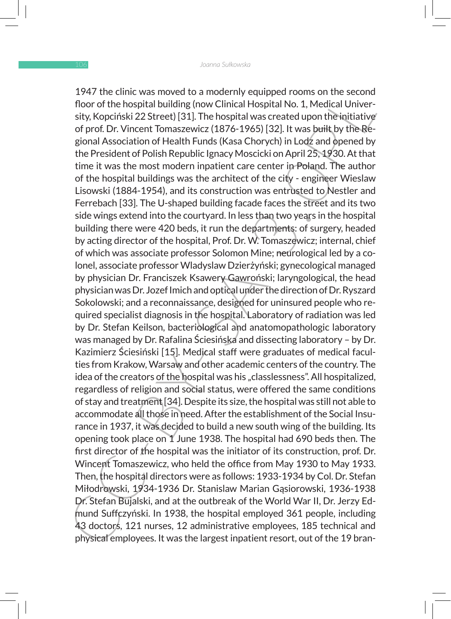1947 the minit was moved to a mocderny equipped rooms on the second<br>floor of the hospital building (now Cinical Hospital No. 1. Medical University, Kopciński 22 Street! [31]. The hospital was created upon the injtiative of 1947 the clinic was moved to a modernly equipped rooms on the second floor of the hospital building (now Clinical Hospital No. 1, Medical University, Kopciński 22 Street) [31]. The hospital was created upon the initiative of prof. Dr. Vincent Tomaszewicz (1876-1965) [32]. It was built by the Regional Association of Health Funds (Kasa Chorych) in Lodz and opened by the President of Polish Republic Ignacy Moscicki on April 25, 1930. At that time it was the most modern inpatient care center in Poland. The author of the hospital buildings was the architect of the city - engineer Wieslaw Lisowski (1884-1954), and its construction was entrusted to Nestler and Ferrebach [33]. The U-shaped building facade faces the street and its two side wings extend into the courtyard. In less than two years in the hospital building there were 420 beds, it run the departments: of surgery, headed by acting director of the hospital, Prof. Dr. W. Tomaszewicz; internal, chief of which was associate professor Solomon Mine; neurological led by a colonel, associate professor Wladyslaw Dzierżyński; gynecological managed by physician Dr. Franciszek Ksawery Gawroński; laryngological, the head physician was Dr. Jozef Imich and optical under the direction of Dr. Ryszard Sokolowski; and a reconnaissance, designed for uninsured people who required specialist diagnosis in the hospital. Laboratory of radiation was led by Dr. Stefan Keilson, bacteriological and anatomopathologic laboratory was managed by Dr. Rafalina Ściesińska and dissecting laboratory – by Dr. Kazimierz Ściesiński [15]. Medical staff were graduates of medical faculties from Krakow, Warsaw and other academic centers of the country. The idea of the creators of the hospital was his "classlessness". All hospitalized, regardless of religion and social status, were offered the same conditions of stay and treatment [34]. Despite its size, the hospital was still not able to accommodate all those in need. After the establishment of the Social Insurance in 1937, it was decided to build a new south wing of the building. Its opening took place on 1 June 1938. The hospital had 690 beds then. The first director of the hospital was the initiator of its construction, prof. Dr. Wincent Tomaszewicz, who held the office from May 1930 to May 1933. Then, the hospital directors were as follows: 1933-1934 by Col. Dr. Stefan Miłodrowski, 1934-1936 Dr. Stanislaw Marian Gąsiorowski, 1936-1938 Dr. Stefan Bujalski, and at the outbreak of the World War II, Dr. Jerzy Edmund Suffczyński. In 1938, the hospital employed 361 people, including 43 doctors, 121 nurses, 12 administrative employees, 185 technical and physical employees. It was the largest inpatient resort, out of the 19 bran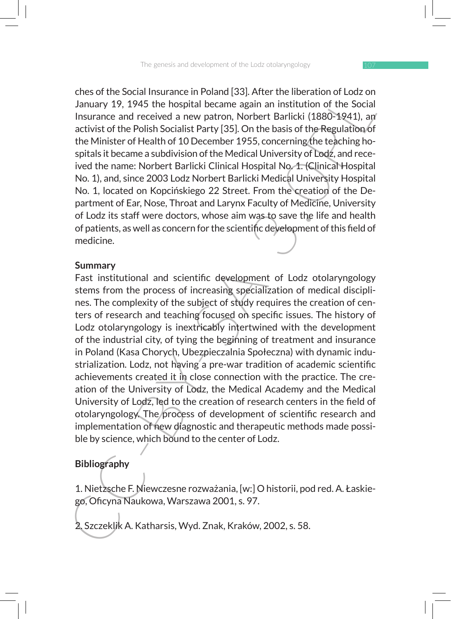ches of the Social Insurance in Poland [33]. After the liberation of Lodz on January 19, 1945 the hospital became again an institution of the Social Insurance and received a new patron, Norbert Barlicki (1880-1941), an activist of the Polish Socialist Party [35]. On the basis of the Regulation of the Minister of Health of 10 December 1955, concerning the teaching hospitals it became a subdivision of the Medical University of Lodz, and received the name: Norbert Barlicki Clinical Hospital No. 1. (Clinical Hospital No. 1), and, since 2003 Lodz Norbert Barlicki Medical University Hospital No. 1, located on Kopcińskiego 22 Street. From the creation of the Department of Ear, Nose, Throat and Larynx Faculty of Medicine, University of Lodz its staff were doctors, whose aim was to save the life and health of patients, as well as concern for the scientific development of this field of medicine.

#### **Summary**

The social Insurance in Poiant and 1304. After the lineration of Loos on<br>I January 19, 1945 the hospital became again an institution of the Social<br>Insurance and received a new patron, Norbert Barlicki (1880-1924), any<br>acti Fast institutional and scientific development of Lodz otolaryngology stems from the process of increasing specialization of medical disciplines. The complexity of the subject of study requires the creation of centers of research and teaching focused on specific issues. The history of Lodz otolaryngology is inextricably intertwined with the development of the industrial city, of tying the beginning of treatment and insurance in Poland (Kasa Chorych, Ubezpieczalnia Społeczna) with dynamic industrialization. Lodz, not having a pre-war tradition of academic scientific achievements created it in close connection with the practice. The creation of the University of Lodz, the Medical Academy and the Medical University of Lodz, led to the creation of research centers in the field of otolaryngology. The process of development of scientific research and implementation of new diagnostic and therapeutic methods made possible by science, which bound to the center of Lodz.

### **Bibliography**

1. Nietzsche F. Niewczesne rozważania, [w:] O historii, pod red. A. Łaskiego, Oficyna Naukowa, Warszawa 2001, s. 97.

2. Szczeklik A. Katharsis, Wyd. Znak, Kraków, 2002, s. 58.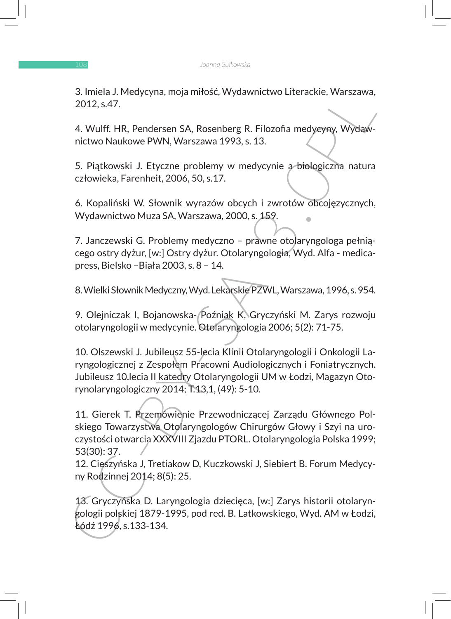3. Imiela J. Medycyna, moja miłość, Wydawnictwo Literackie, Warszawa, 2012, s.47.

4. Wulff. HR, Pendersen SA, Rosenberg R. Filozofia medycyny, Wydawnictwo Naukowe PWN, Warszawa 1993, s. 13.

5. Piątkowski J. Etyczne problemy w medycynie a biologiczna natura człowieka, Farenheit, 2006, 50, s.17.

6. Kopaliński W. Słownik wyrazów obcych i zwrotów obcojęzycznych, Wydawnictwo Muza SA, Warszawa, 2000, s. 159.

7. Janczewski G. Problemy medyczno – prawne otolaryngologa pełniącego ostry dyżur, [w:] Ostry dyżur. Otolaryngologia, Wyd. Alfa - medicapress, Bielsko –Biała 2003, s. 8 – 14.

8. Wielki Słownik Medyczny, Wyd. Lekarskie PZWL, Warszawa, 1996, s. 954.

9. Olejniczak I, Bojanowska- Poźniak K, Gryczyński M. Zarys rozwoju otolaryngologii w medycynie. Otolaryngologia 2006; 5(2): 71-75.

3. Imleia J. Medycyna, moja minosc, vyydawnictwo Literackie, warszawa,<br>
2012, s.47.<br>
4. Wulff. HR, Pendersen SA, Rosenberg R. Filozofia medycyny, Wydawnictwo Naukowe PWN, Warszawa 1993, s. 13.<br>
5. Piatkowski J. Etyczne pro 10. Olszewski J. Jubileusz 55-lecia Klinii Otolaryngologii i Onkologii Laryngologicznej z Zespołem Pracowni Audiologicznych i Foniatrycznych. Jubileusz 10.lecia II katedry Otolaryngologii UM w Łodzi, Magazyn Otorynolaryngologiczny 2014; T.13,1, (49): 5-10.

11. Gierek T. Przemówienie Przewodniczącej Zarządu Głównego Polskiego Towarzystwa Otolaryngologów Chirurgów Głowy i Szyi na uroczystości otwarcia XXXVIII Zjazdu PTORL. Otolaryngologia Polska 1999; 53(30): 37.

12. Cieszyńska J, Tretiakow D, Kuczkowski J, Siebiert B. Forum Medycyny Rodzinnej 2014; 8(5): 25.

13. Gryczyńska D. Laryngologia dziecięca, [w:] Zarys historii otolaryngologii polskiej 1879-1995, pod red. B. Latkowskiego, Wyd. AM w Łodzi, Łódź 1996, s.133-134.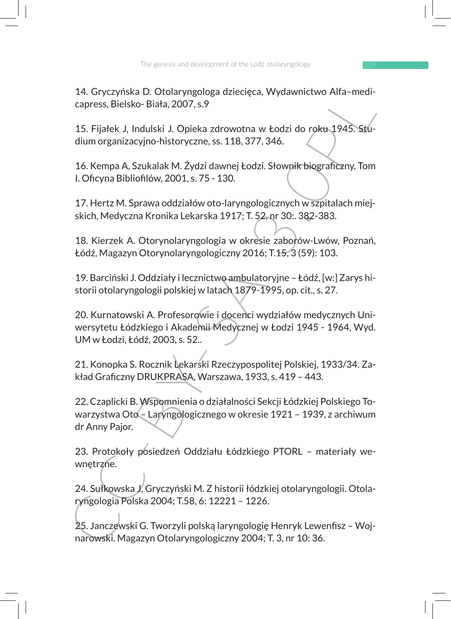14. Gryczyńska D. Otolaryngologa dziecięca, Wydawnictwo Alfa–medicapress, Bielsko- Biała, 2007, s.9

15. Fijałek J, Indulski J. Opieka zdrowotna w Łodzi do roku 1945. Studium organizacyjno-historyczne, ss. 118, 377, 346.

16. Kempa A, Szukalak M. Żydzi dawnej Łodzi. Słownik biograficzny. Tom I. Oficyna Bibliofilów, 2001, s. 75 - 130.

17. Hertz M. Sprawa oddziałów oto-laryngologicznych w szpitalach miejskich, Medyczna Kronika Lekarska 1917; T. 52, nr 30:. 382-383.

18. Kierzek A. Otorynolaryngologia w okresie zaborów-Lwów, Poznań, Łódź, Magazyn Otorynolaryngologiczny 2016; T.15, 3 (59): 103.

19. Barciński J. Oddziały i lecznictwo ambulatoryjne – Łódź, [w:] Zarys historii otolaryngologii polskiej w latach 1879-1995, op. cit., s. 27.

20. Kurnatowski A. Profesorowie i docenci wydziałów medycznych Uniwersytetu Łódzkiego i Akademii Medycznej w Łodzi 1945 - 1964, Wyd. UM w Łodzi, Łódź, 2003, s. 52..

21. Konopka S. Rocznik Lekarski Rzeczypospolitej Polskiej, 1933/34. Zakład Graficzny DRUKPRASA, Warszawa, 1933, s. 419 – 443.

14. Gryczyntska D. Choiaryngologia azlectęca, wydawnictwo Aira-medical<br>rapress, Bielsko- Biała, 2007, s. 9<br>15. Fijałek J, Indulski J. Opieka zdrowotna w Łodzi do roku 1945. Stu-<br>dium organizacyjno-historyczne, ss. 118, 377 22. Czaplicki B. Wspomnienia o działalności Sekcji Łódzkiej Polskiego Towarzystwa Oto – Laryngologicznego w okresie 1921 – 1939, z archiwum dr Anny Pajor.

23. Protokoły posiedzeń Oddziału Łódzkiego PTORL – materiały wewnętrzne.

24. Sułkowska J, Gryczyński M. Z historii łódzkiej otolaryngologii. Otolaryngologia Polska 2004; T.58, 6: 12221 – 1226.

25. Janczewski G. Tworzyli polską laryngologię Henryk Lewenfisz – Wojnarowski. Magazyn Otolaryngologiczny 2004; T. 3, nr 10: 36.